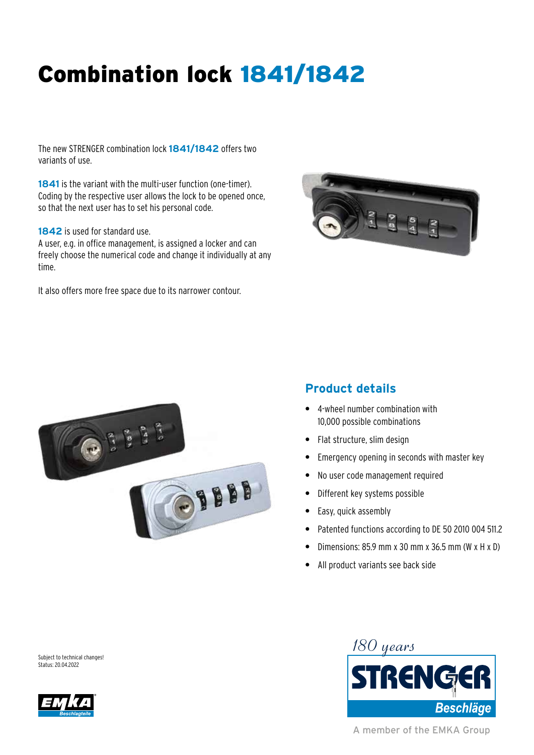## Combination lock 1841/1842

The new STRENGER combination lock **1841/1842** offers two variants of use.

**1841** is the variant with the multi-user function (one-timer). Coding by the respective user allows the lock to be opened once, so that the next user has to set his personal code.

**1842** is used for standard use.

A user, e.g. in office management, is assigned a locker and can freely choose the numerical code and change it individually at any time.

It also offers more free space due to its narrower contour.





## **Product details**

- **•** 4-wheel number combination with 10,000 possible combinations
- **•** Flat structure, slim design
- **•** Emergency opening in seconds with master key
- **•** No user code management required
- **•** Different key systems possible
- **•** Easy, quick assembly
- **•** Patented functions according to DE 50 2010 004 511.2
- **•** Dimensions: 85.9 mm x 30 mm x 36.5 mm (W x H x D)
- **•** All product variants see back side

Subject to technical changes! Status: 20.04.2022



A member of the EMKA Group